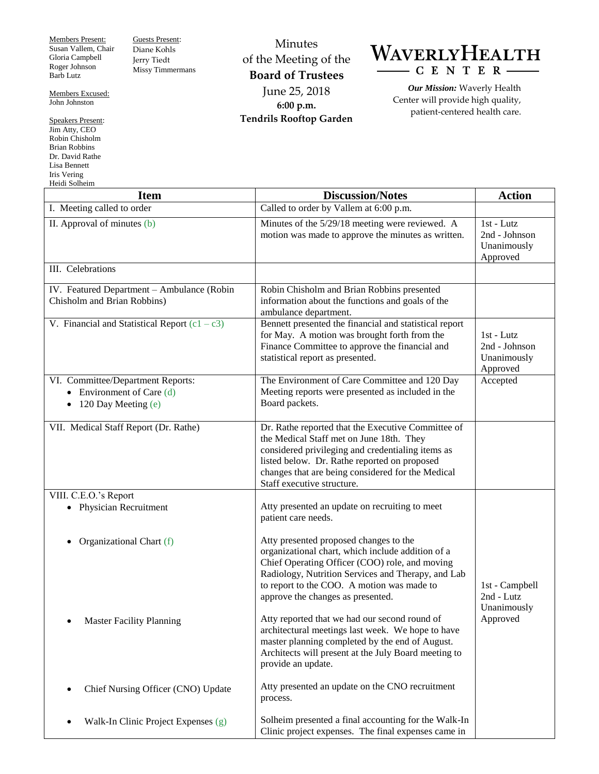Members Present: Susan Vallem, Chair Gloria Campbell Roger Johnson Barb Lutz

Members Excused: John Johnston

Speakers Present: Jim Atty, CEO Robin Chisholm Brian Robbins Dr. David Rathe Lisa Bennett Iris Vering Heidi Solheim

Guests Present: Diane Kohls Jerry Tiedt Missy Timmermans

Minutes of the Meeting of the **Board of Trustees** June 25, 2018 **6:00 p.m. Tendrils Rooftop Garden**



*Our Mission:* Waverly Health Center will provide high quality, patient-centered health care.

| Heigh Somenn<br><b>Item</b>                                                                 | <b>Discussion/Notes</b>                                                                                                                                                                                                                                                                | <b>Action</b>                                           |
|---------------------------------------------------------------------------------------------|----------------------------------------------------------------------------------------------------------------------------------------------------------------------------------------------------------------------------------------------------------------------------------------|---------------------------------------------------------|
| I. Meeting called to order                                                                  | Called to order by Vallem at 6:00 p.m.                                                                                                                                                                                                                                                 |                                                         |
| II. Approval of minutes (b)                                                                 | Minutes of the 5/29/18 meeting were reviewed. A<br>motion was made to approve the minutes as written.                                                                                                                                                                                  | 1st - Lutz<br>2nd - Johnson<br>Unanimously<br>Approved  |
| III. Celebrations                                                                           |                                                                                                                                                                                                                                                                                        |                                                         |
| IV. Featured Department - Ambulance (Robin<br>Chisholm and Brian Robbins)                   | Robin Chisholm and Brian Robbins presented<br>information about the functions and goals of the<br>ambulance department.                                                                                                                                                                |                                                         |
| V. Financial and Statistical Report $(c1 - c3)$                                             | Bennett presented the financial and statistical report<br>for May. A motion was brought forth from the<br>Finance Committee to approve the financial and<br>statistical report as presented.                                                                                           | 1st - Lutz<br>2nd - Johnson<br>Unanimously<br>Approved  |
| VI. Committee/Department Reports:<br>• Environment of Care $(d)$<br>• 120 Day Meeting $(e)$ | The Environment of Care Committee and 120 Day<br>Meeting reports were presented as included in the<br>Board packets.                                                                                                                                                                   | Accepted                                                |
| VII. Medical Staff Report (Dr. Rathe)                                                       | Dr. Rathe reported that the Executive Committee of<br>the Medical Staff met on June 18th. They<br>considered privileging and credentialing items as<br>listed below. Dr. Rathe reported on proposed<br>changes that are being considered for the Medical<br>Staff executive structure. |                                                         |
| VIII. C.E.O.'s Report                                                                       |                                                                                                                                                                                                                                                                                        |                                                         |
| • Physician Recruitment                                                                     | Atty presented an update on recruiting to meet<br>patient care needs.                                                                                                                                                                                                                  |                                                         |
| Organizational Chart (f)                                                                    | Atty presented proposed changes to the<br>organizational chart, which include addition of a<br>Chief Operating Officer (COO) role, and moving<br>Radiology, Nutrition Services and Therapy, and Lab<br>to report to the COO. A motion was made to<br>approve the changes as presented. | 1st - Campbell<br>2nd - Lutz<br>Unanimously<br>Approved |
| <b>Master Facility Planning</b>                                                             | Atty reported that we had our second round of<br>architectural meetings last week. We hope to have<br>master planning completed by the end of August.<br>Architects will present at the July Board meeting to<br>provide an update.                                                    |                                                         |
| Chief Nursing Officer (CNO) Update                                                          | Atty presented an update on the CNO recruitment<br>process.                                                                                                                                                                                                                            |                                                         |
| Walk-In Clinic Project Expenses (g)                                                         | Solheim presented a final accounting for the Walk-In<br>Clinic project expenses. The final expenses came in                                                                                                                                                                            |                                                         |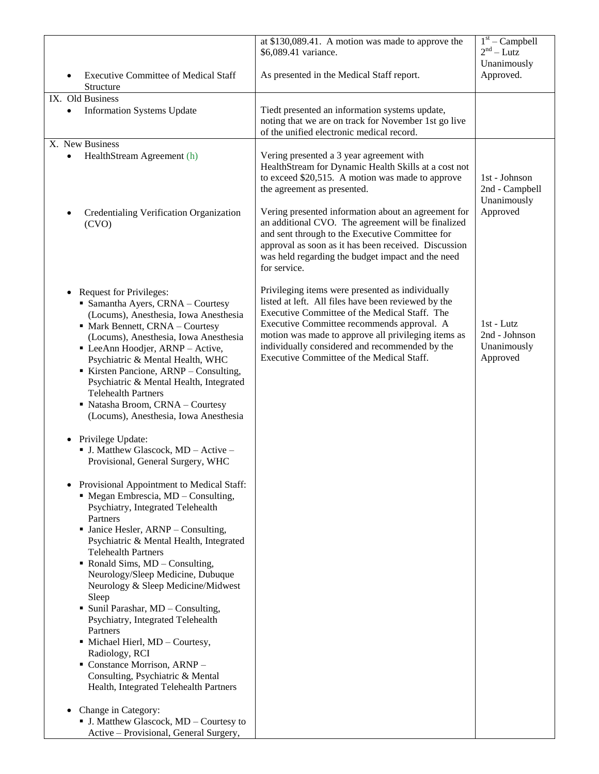|                                                                                          | at $$130,089.41$ . A motion was made to approve the                                               | $1st - Campbell$        |
|------------------------------------------------------------------------------------------|---------------------------------------------------------------------------------------------------|-------------------------|
|                                                                                          | \$6,089.41 variance.                                                                              | $2nd - Lutz$            |
|                                                                                          |                                                                                                   | Unanimously             |
| <b>Executive Committee of Medical Staff</b><br>Structure                                 | As presented in the Medical Staff report.                                                         | Approved.               |
| IX. Old Business                                                                         |                                                                                                   |                         |
| <b>Information Systems Update</b><br>$\bullet$                                           | Tiedt presented an information systems update,                                                    |                         |
|                                                                                          | noting that we are on track for November 1st go live<br>of the unified electronic medical record. |                         |
| X. New Business                                                                          |                                                                                                   |                         |
| HealthStream Agreement (h)<br>$\bullet$                                                  | Vering presented a 3 year agreement with                                                          |                         |
|                                                                                          | HealthStream for Dynamic Health Skills at a cost not                                              |                         |
|                                                                                          | to exceed \$20,515. A motion was made to approve                                                  | 1st - Johnson           |
|                                                                                          | the agreement as presented.                                                                       | 2nd - Campbell          |
|                                                                                          |                                                                                                   | Unanimously             |
| Credentialing Verification Organization                                                  | Vering presented information about an agreement for                                               | Approved                |
| (CVO)                                                                                    | an additional CVO. The agreement will be finalized                                                |                         |
|                                                                                          | and sent through to the Executive Committee for                                                   |                         |
|                                                                                          | approval as soon as it has been received. Discussion                                              |                         |
|                                                                                          | was held regarding the budget impact and the need                                                 |                         |
|                                                                                          | for service.                                                                                      |                         |
|                                                                                          |                                                                                                   |                         |
| <b>Request for Privileges:</b><br>$\bullet$                                              | Privileging items were presented as individually                                                  |                         |
| • Samantha Ayers, CRNA - Courtesy                                                        | listed at left. All files have been reviewed by the                                               |                         |
| (Locums), Anesthesia, Iowa Anesthesia                                                    | Executive Committee of the Medical Staff. The                                                     |                         |
| • Mark Bennett, CRNA - Courtesy                                                          | Executive Committee recommends approval. A                                                        | $1st - Lutz$            |
| (Locums), Anesthesia, Iowa Anesthesia                                                    | motion was made to approve all privileging items as                                               | 2nd - Johnson           |
| • LeeAnn Hoodjer, ARNP - Active,                                                         | individually considered and recommended by the<br>Executive Committee of the Medical Staff.       | Unanimously<br>Approved |
| Psychiatric & Mental Health, WHC                                                         |                                                                                                   |                         |
| Kirsten Pancione, ARNP – Consulting,                                                     |                                                                                                   |                         |
| Psychiatric & Mental Health, Integrated<br><b>Telehealth Partners</b>                    |                                                                                                   |                         |
|                                                                                          |                                                                                                   |                         |
| · Natasha Broom, CRNA - Courtesy<br>(Locums), Anesthesia, Iowa Anesthesia                |                                                                                                   |                         |
|                                                                                          |                                                                                                   |                         |
| Privilege Update:<br>$\bullet$                                                           |                                                                                                   |                         |
| • J. Matthew Glascock, MD - Active -                                                     |                                                                                                   |                         |
| Provisional, General Surgery, WHC                                                        |                                                                                                   |                         |
|                                                                                          |                                                                                                   |                         |
| Provisional Appointment to Medical Staff:                                                |                                                                                                   |                         |
| $\blacksquare$ Megan Embrescia, MD – Consulting,                                         |                                                                                                   |                         |
| Psychiatry, Integrated Telehealth                                                        |                                                                                                   |                         |
| Partners                                                                                 |                                                                                                   |                         |
| • Janice Hesler, ARNP – Consulting,                                                      |                                                                                                   |                         |
| Psychiatric & Mental Health, Integrated                                                  |                                                                                                   |                         |
| <b>Telehealth Partners</b><br>• Ronald Sims, $MD$ – Consulting,                          |                                                                                                   |                         |
| Neurology/Sleep Medicine, Dubuque                                                        |                                                                                                   |                         |
| Neurology & Sleep Medicine/Midwest                                                       |                                                                                                   |                         |
| Sleep                                                                                    |                                                                                                   |                         |
| • Sunil Parashar, MD - Consulting,                                                       |                                                                                                   |                         |
| Psychiatry, Integrated Telehealth                                                        |                                                                                                   |                         |
| Partners                                                                                 |                                                                                                   |                         |
| • Michael Hierl, MD - Courtesy,                                                          |                                                                                                   |                         |
| Radiology, RCI                                                                           |                                                                                                   |                         |
| • Constance Morrison, ARNP -                                                             |                                                                                                   |                         |
| Consulting, Psychiatric & Mental                                                         |                                                                                                   |                         |
| Health, Integrated Telehealth Partners                                                   |                                                                                                   |                         |
|                                                                                          |                                                                                                   |                         |
| Change in Category:<br>$\bullet$<br>$\blacksquare$ J. Matthew Glascock, MD – Courtesy to |                                                                                                   |                         |
| Active – Provisional, General Surgery,                                                   |                                                                                                   |                         |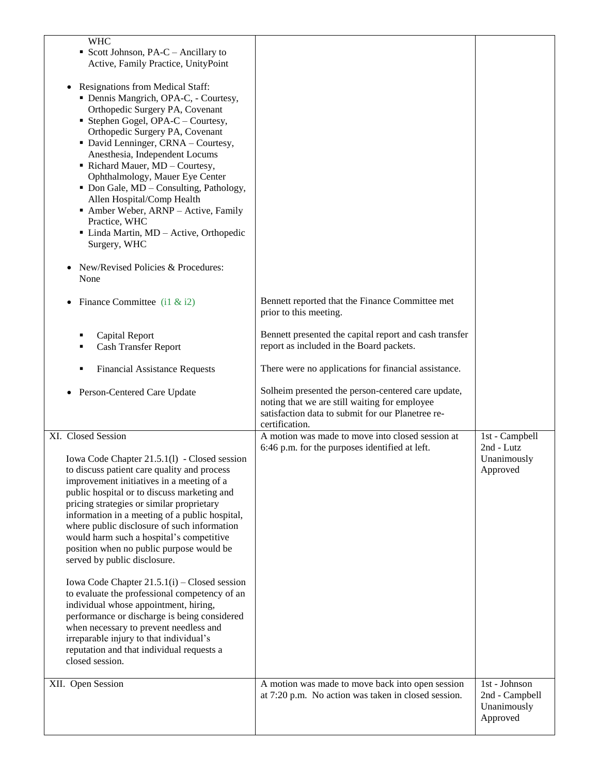|                                                                                                                                                                                                                                                                                                                                                                                                                                                                                                                                                                                                                                                                                                                                                                                                                                      |                                                                                                                                                                            | Unanimously<br>Approved                                 |
|--------------------------------------------------------------------------------------------------------------------------------------------------------------------------------------------------------------------------------------------------------------------------------------------------------------------------------------------------------------------------------------------------------------------------------------------------------------------------------------------------------------------------------------------------------------------------------------------------------------------------------------------------------------------------------------------------------------------------------------------------------------------------------------------------------------------------------------|----------------------------------------------------------------------------------------------------------------------------------------------------------------------------|---------------------------------------------------------|
| XII. Open Session                                                                                                                                                                                                                                                                                                                                                                                                                                                                                                                                                                                                                                                                                                                                                                                                                    | A motion was made to move back into open session<br>at 7:20 p.m. No action was taken in closed session.                                                                    | 1st - Johnson<br>2nd - Campbell                         |
| XI. Closed Session<br>Iowa Code Chapter 21.5.1(1) - Closed session<br>to discuss patient care quality and process<br>improvement initiatives in a meeting of a<br>public hospital or to discuss marketing and<br>pricing strategies or similar proprietary<br>information in a meeting of a public hospital,<br>where public disclosure of such information<br>would harm such a hospital's competitive<br>position when no public purpose would be<br>served by public disclosure.<br>Iowa Code Chapter $21.5.1(i)$ – Closed session<br>to evaluate the professional competency of an<br>individual whose appointment, hiring,<br>performance or discharge is being considered<br>when necessary to prevent needless and<br>irreparable injury to that individual's<br>reputation and that individual requests a<br>closed session. | A motion was made to move into closed session at<br>6:46 p.m. for the purposes identified at left.                                                                         | 1st - Campbell<br>2nd - Lutz<br>Unanimously<br>Approved |
| Person-Centered Care Update                                                                                                                                                                                                                                                                                                                                                                                                                                                                                                                                                                                                                                                                                                                                                                                                          | Solheim presented the person-centered care update,<br>noting that we are still waiting for employee<br>satisfaction data to submit for our Planetree re-<br>certification. |                                                         |
| <b>Financial Assistance Requests</b>                                                                                                                                                                                                                                                                                                                                                                                                                                                                                                                                                                                                                                                                                                                                                                                                 | There were no applications for financial assistance.                                                                                                                       |                                                         |
| Capital Report<br><b>Cash Transfer Report</b>                                                                                                                                                                                                                                                                                                                                                                                                                                                                                                                                                                                                                                                                                                                                                                                        | Bennett presented the capital report and cash transfer<br>report as included in the Board packets.                                                                         |                                                         |
| Finance Committee $(i1 \& i2)$<br>٠                                                                                                                                                                                                                                                                                                                                                                                                                                                                                                                                                                                                                                                                                                                                                                                                  | Bennett reported that the Finance Committee met<br>prior to this meeting.                                                                                                  |                                                         |
| New/Revised Policies & Procedures:<br>None                                                                                                                                                                                                                                                                                                                                                                                                                                                                                                                                                                                                                                                                                                                                                                                           |                                                                                                                                                                            |                                                         |
| • Don Gale, MD - Consulting, Pathology,<br>Allen Hospital/Comp Health<br>• Amber Weber, ARNP - Active, Family<br>Practice, WHC<br>• Linda Martin, MD - Active, Orthopedic<br>Surgery, WHC                                                                                                                                                                                                                                                                                                                                                                                                                                                                                                                                                                                                                                            |                                                                                                                                                                            |                                                         |
| <b>Resignations from Medical Staff:</b><br>Dennis Mangrich, OPA-C, - Courtesy,<br>Orthopedic Surgery PA, Covenant<br>• Stephen Gogel, OPA-C - Courtesy,<br>Orthopedic Surgery PA, Covenant<br>• David Lenninger, CRNA - Courtesy,<br>Anesthesia, Independent Locums<br>Richard Mauer, MD - Courtesy,<br>Ophthalmology, Mauer Eye Center                                                                                                                                                                                                                                                                                                                                                                                                                                                                                              |                                                                                                                                                                            |                                                         |
| <b>WHC</b><br>Scott Johnson, PA-C - Ancillary to<br>Active, Family Practice, UnityPoint                                                                                                                                                                                                                                                                                                                                                                                                                                                                                                                                                                                                                                                                                                                                              |                                                                                                                                                                            |                                                         |